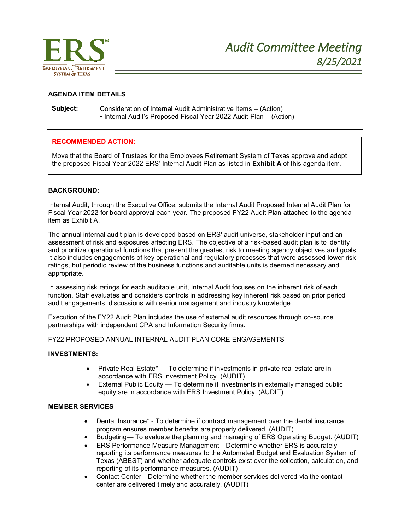

# **AGENDA ITEM DETAILS**

**Subject:** Consideration of Internal Audit Administrative Items – (Action) • Internal Audit's Proposed Fiscal Year 2022 Audit Plan – (Action)

### **RECOMMENDED ACTION:**

Move that the Board of Trustees for the Employees Retirement System of Texas approve and adopt the proposed Fiscal Year 2022 ERS' Internal Audit Plan as listed in **Exhibit A** of this agenda item.

#### **BACKGROUND:**

Internal Audit, through the Executive Office, submits the Internal Audit Proposed Internal Audit Plan for Fiscal Year 2022 for board approval each year. The proposed FY22 Audit Plan attached to the agenda item as Exhibit A.

The annual internal audit plan is developed based on ERS' audit universe, stakeholder input and an assessment of risk and exposures affecting ERS. The objective of a risk-based audit plan is to identify and prioritize operational functions that present the greatest risk to meeting agency objectives and goals. It also includes engagements of key operational and regulatory processes that were assessed lower risk ratings, but periodic review of the business functions and auditable units is deemed necessary and appropriate.

In assessing risk ratings for each auditable unit, Internal Audit focuses on the inherent risk of each function. Staff evaluates and considers controls in addressing key inherent risk based on prior period audit engagements, discussions with senior management and industry knowledge.

Execution of the FY22 Audit Plan includes the use of external audit resources through co-source partnerships with independent CPA and Information Security firms.

#### FY22 PROPOSED ANNUAL INTERNAL AUDIT PLAN CORE ENGAGEMENTS

### **INVESTMENTS:**

- Private Real Estate\* To determine if investments in private real estate are in accordance with ERS Investment Policy. (AUDIT)
- External Public Equity To determine if investments in externally managed public equity are in accordance with ERS Investment Policy. (AUDIT)

### **MEMBER SERVICES**

- Dental Insurance\* To determine if contract management over the dental insurance program ensures member benefits are properly delivered. (AUDIT)
- Budgeting— To evaluate the planning and managing of ERS Operating Budget. (AUDIT)
- ERS Performance Measure Management—Determine whether ERS is accurately reporting its performance measures to the Automated Budget and Evaluation System of Texas (ABEST) and whether adequate controls exist over the collection, calculation, and reporting of its performance measures. (AUDIT)
- Contact Center—Determine whether the member services delivered via the contact center are delivered timely and accurately. (AUDIT)